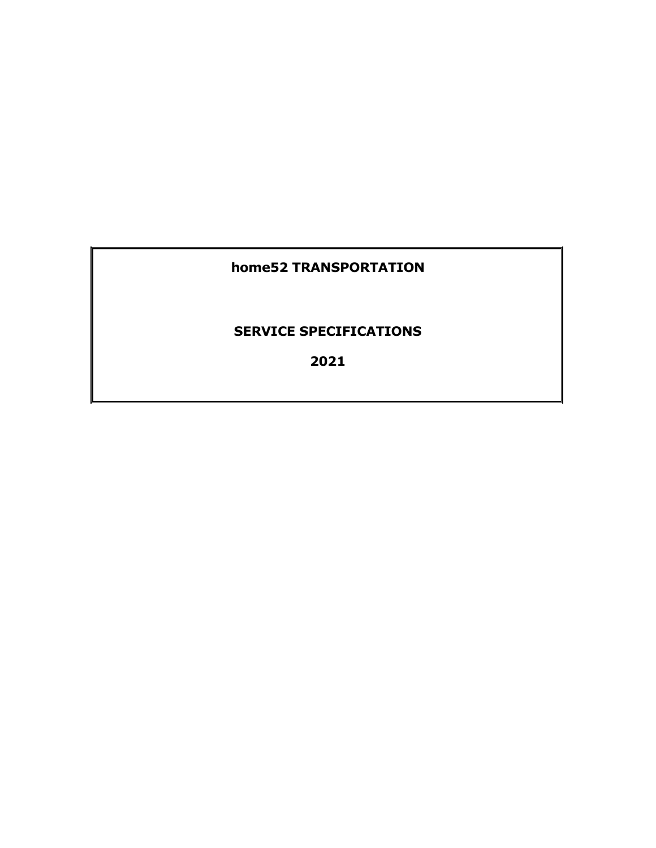# **home52 TRANSPORTATION**

## **SERVICE SPECIFICATIONS**

**2021**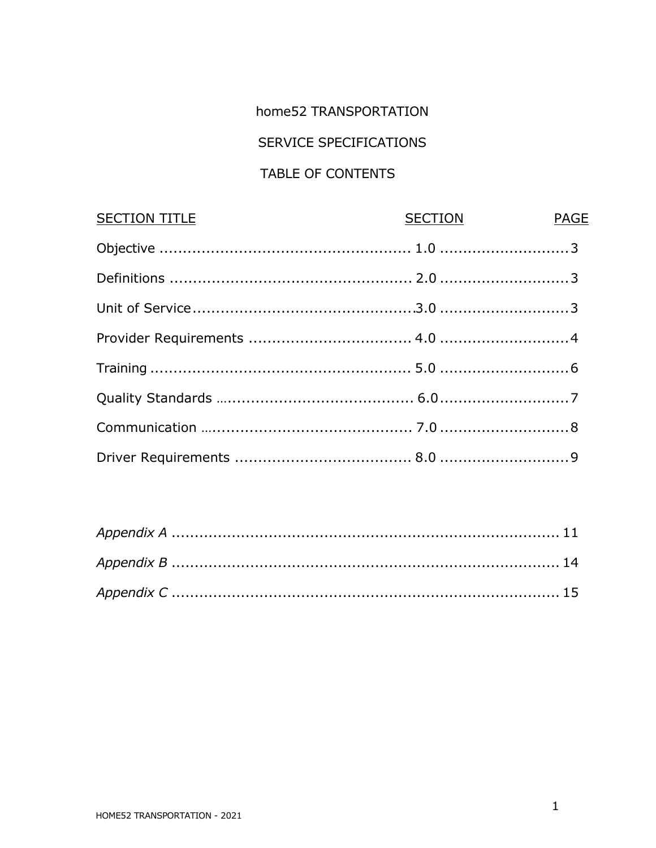## home52 TRANSPORTATION

# **SERVICE SPECIFICATIONS**

# TABLE OF CONTENTS

| SECTION PAGE |
|--------------|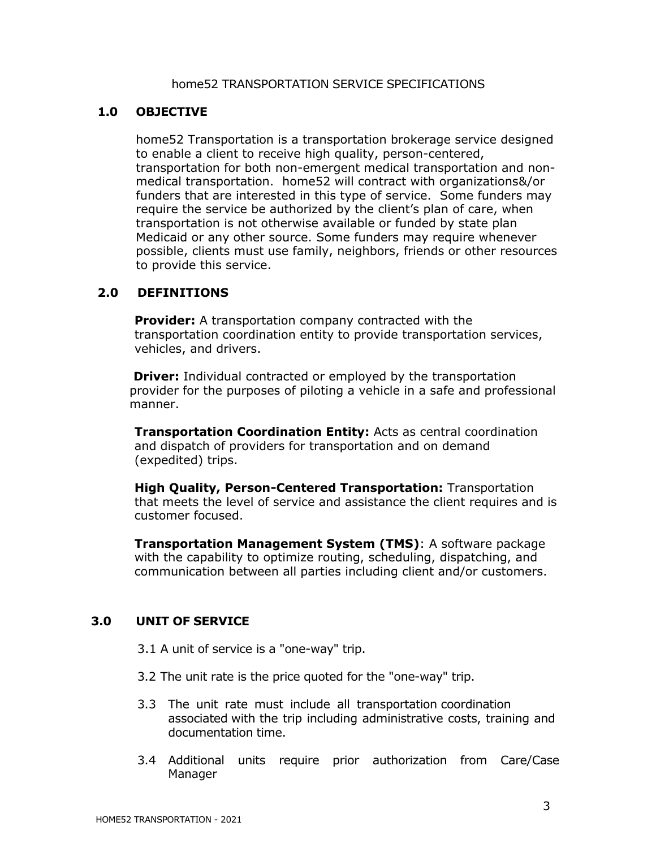#### home52 TRANSPORTATION SERVICE SPECIFICATIONS

#### **1.0 OBJECTIVE**

home52 Transportation is a transportation brokerage service designed to enable a client to receive high quality, person-centered, transportation for both non-emergent medical transportation and nonmedical transportation. home52 will contract with organizations&/or funders that are interested in this type of service. Some funders may require the service be authorized by the client's plan of care, when transportation is not otherwise available or funded by state plan Medicaid or any other source. Some funders may require whenever possible, clients must use family, neighbors, friends or other resources to provide this service.

#### **2.0 DEFINITIONS**

**Provider:** A transportation company contracted with the transportation coordination entity to provide transportation services, vehicles, and drivers.

**Driver:** Individual contracted or employed by the transportation provider for the purposes of piloting a vehicle in a safe and professional manner.

**Transportation Coordination Entity:** Acts as central coordination and dispatch of providers for transportation and on demand (expedited) trips.

**High Quality, Person-Centered Transportation:** Transportation that meets the level of service and assistance the client requires and is customer focused.

**Transportation Management System (TMS)**: A software package with the capability to optimize routing, scheduling, dispatching, and communication between all parties including client and/or customers.

#### **3.0 UNIT OF SERVICE**

3.1 A unit of service is a "one-way" trip.

- 3.2 The unit rate is the price quoted for the "one-way" trip.
- 3.3 The unit rate must include all transportation coordination associated with the trip including administrative costs, training and documentation time.
- 3.4 Additional units require prior authorization from Care/Case Manager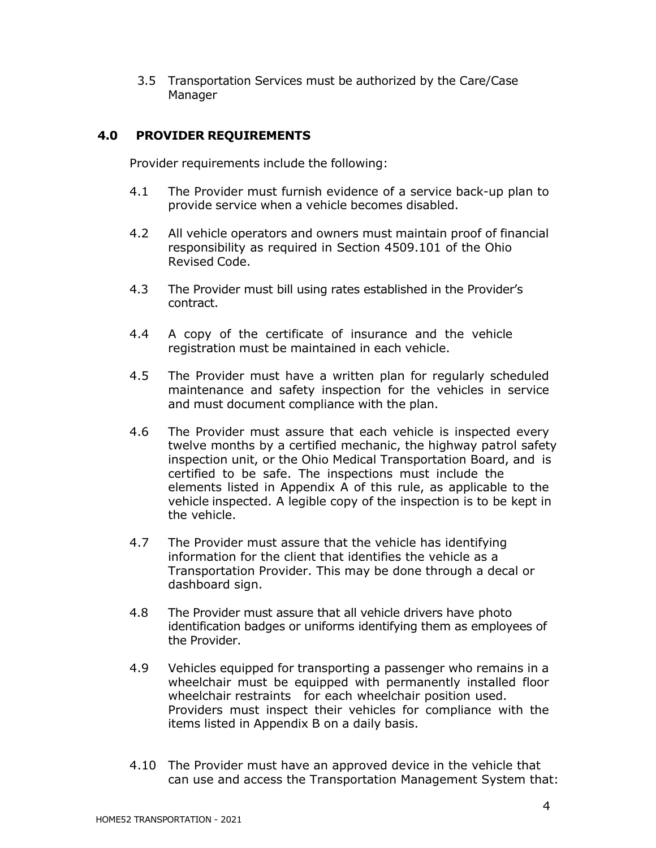3.5 Transportation Services must be authorized by the Care/Case Manager

#### **4.0 PROVIDER REQUIREMENTS**

Provider requirements include the following:

- 4.1 The Provider must furnish evidence of a service back-up plan to provide service when a vehicle becomes disabled.
- 4.2 All vehicle operators and owners must maintain proof of financial responsibility as required in Section 4509.101 of the Ohio Revised Code.
- 4.3 The Provider must bill using rates established in the Provider's contract.
- 4.4 A copy of the certificate of insurance and the vehicle registration must be maintained in each vehicle.
- 4.5 The Provider must have a written plan for regularly scheduled maintenance and safety inspection for the vehicles in service and must document compliance with the plan.
- 4.6 The Provider must assure that each vehicle is inspected every twelve months by a certified mechanic, the highway patrol safety inspection unit, or the Ohio Medical Transportation Board, and is certified to be safe. The inspections must include the elements listed in Appendix A of this rule, as applicable to the vehicle inspected. A legible copy of the inspection is to be kept in the vehicle.
- 4.7 The Provider must assure that the vehicle has identifying information for the client that identifies the vehicle as a Transportation Provider. This may be done through a decal or dashboard sign.
- 4.8 The Provider must assure that all vehicle drivers have photo identification badges or uniforms identifying them as employees of the Provider.
- 4.9 Vehicles equipped for transporting a passenger who remains in a wheelchair must be equipped with permanently installed floor wheelchair restraints for each wheelchair position used. Providers must inspect their vehicles for compliance with the items listed in Appendix B on a daily basis.
- 4.10 The Provider must have an approved device in the vehicle that can use and access the Transportation Management System that: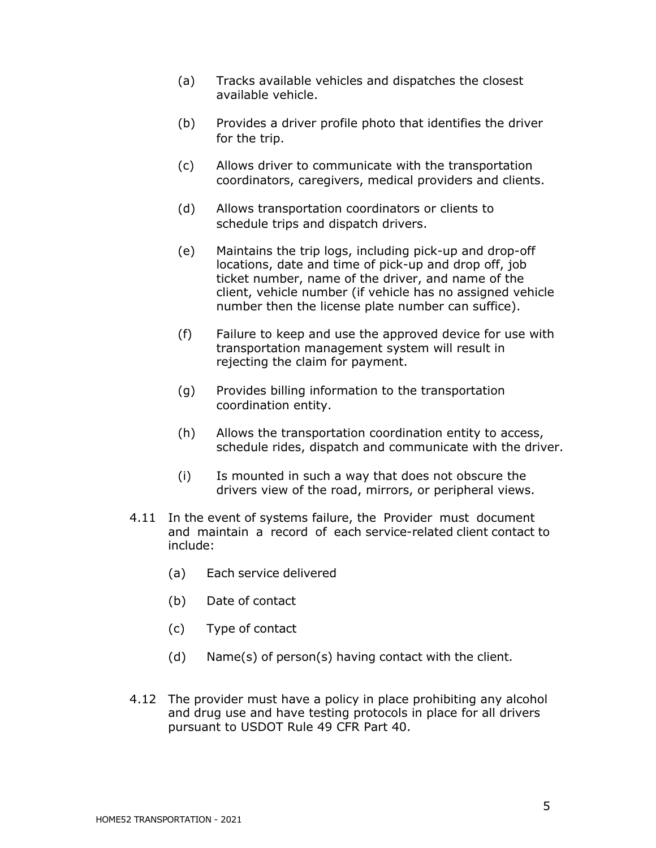- (a) Tracks available vehicles and dispatches the closest available vehicle.
- (b) Provides a driver profile photo that identifies the driver for the trip.
- (c) Allows driver to communicate with the transportation coordinators, caregivers, medical providers and clients.
- (d) Allows transportation coordinators or clients to schedule trips and dispatch drivers.
- (e) Maintains the trip logs, including pick-up and drop-off locations, date and time of pick-up and drop off, job ticket number, name of the driver, and name of the client, vehicle number (if vehicle has no assigned vehicle number then the license plate number can suffice).
- (f) Failure to keep and use the approved device for use with transportation management system will result in rejecting the claim for payment.
- (g) Provides billing information to the transportation coordination entity.
- (h) Allows the transportation coordination entity to access, schedule rides, dispatch and communicate with the driver.
- (i) Is mounted in such a way that does not obscure the drivers view of the road, mirrors, or peripheral views.
- 4.11 In the event of systems failure, the Provider must document and maintain a record of each service-related client contact to include:
	- (a) Each service delivered
	- (b) Date of contact
	- (c) Type of contact
	- (d) Name(s) of person(s) having contact with the client.
- 4.12 The provider must have a policy in place prohibiting any alcohol and drug use and have testing protocols in place for all drivers pursuant to USDOT Rule 49 CFR Part 40.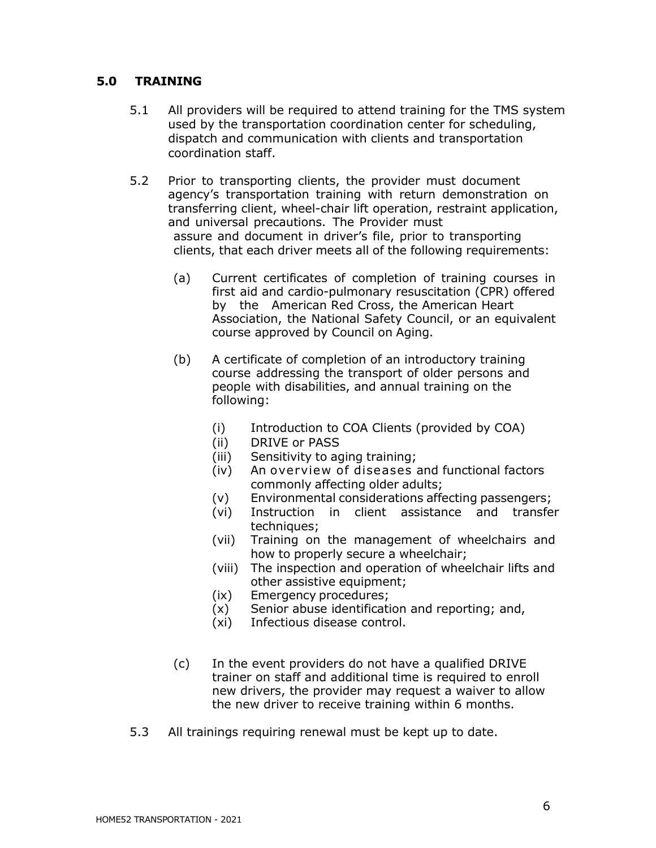#### **5.0 TRAINING**

- 5.1 All providers will be required to attend training for the TMS system used by the transportation coordination center for scheduling, dispatch and communication with clients and transportation coordination staff.
- 5.2 Prior to transporting clients, the provider must document agency's transportation training with return demonstration on transferring client, wheel-chair lift operation, restraint application, and universal precautions. The Provider must assure and document in driver's file, prior to transporting clients, that each driver meets all of the following requirements:
	- (a) Current certificates of completion of training courses in first aid and cardio-pulmonary resuscitation (CPR) offered by the American Red Cross, the American Heart Association, the National Safety Council, or an equivalent course approved by Council on Aging.
	- (b) A certificate of completion of an introductory training course addressing the transport of older persons and people with disabilities, and annual training on the following:
		- (i) Introduction to COA Clients (provided by COA)
		- (ii) DRIVE or PASS
		- (iii) Sensitivity to aging training;
		- (iv) An overview of diseases and functional factors commonly affecting older adults;
		- (v) Environmental considerations affecting passengers;
		- (vi) Instruction in client assistance and transfer techniques;
		- (vii) Training on the management of wheelchairs and how to properly secure a wheelchair;
		- (viii) The inspection and operation of wheelchair lifts and other assistive equipment;
		- (ix) Emergency procedures;
		- (x) Senior abuse identification and reporting; and,
		- (xi) Infectious disease control.
	- (c) In the event providers do not have a qualified DRIVE trainer on staff and additional time is required to enroll new drivers, the provider may request a waiver to allow the new driver to receive training within 6 months.
- 5.3 All trainings requiring renewal must be kept up to date.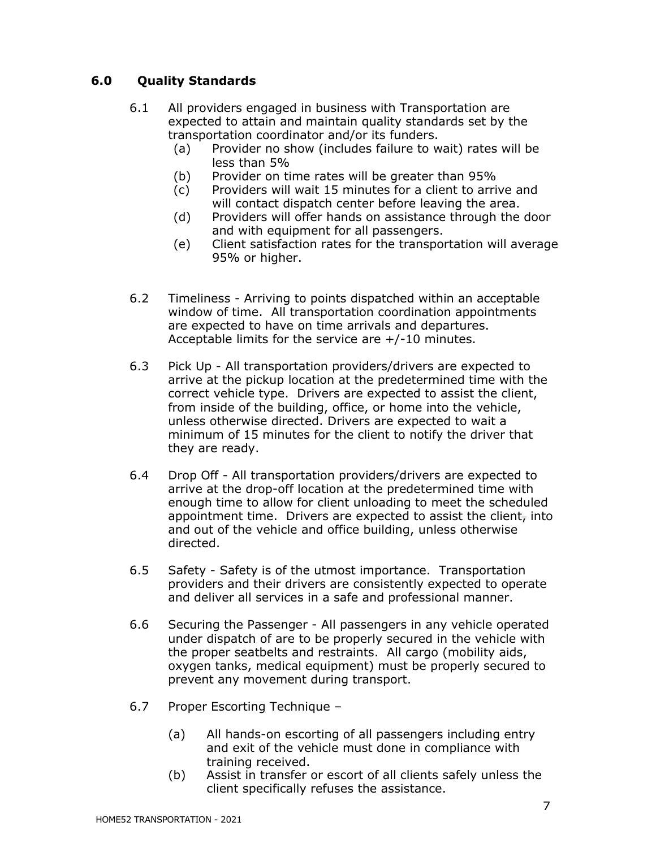### **6.0 Quality Standards**

- 6.1 All providers engaged in business with Transportation are expected to attain and maintain quality standards set by the transportation coordinator and/or its funders.
	- (a) Provider no show (includes failure to wait) rates will be less than 5%
	- (b) Provider on time rates will be greater than 95%
	- (c) Providers will wait 15 minutes for a client to arrive and will contact dispatch center before leaving the area.
	- (d) Providers will offer hands on assistance through the door and with equipment for all passengers.
	- (e) Client satisfaction rates for the transportation will average 95% or higher.
- 6.2 Timeliness Arriving to points dispatched within an acceptable window of time. All transportation coordination appointments are expected to have on time arrivals and departures. Acceptable limits for the service are +/-10 minutes.
- 6.3 Pick Up All transportation providers/drivers are expected to arrive at the pickup location at the predetermined time with the correct vehicle type. Drivers are expected to assist the client, from inside of the building, office, or home into the vehicle, unless otherwise directed. Drivers are expected to wait a minimum of 15 minutes for the client to notify the driver that they are ready.
- 6.4 Drop Off All transportation providers/drivers are expected to arrive at the drop-off location at the predetermined time with enough time to allow for client unloading to meet the scheduled appointment time. Drivers are expected to assist the client, into and out of the vehicle and office building, unless otherwise directed.
- 6.5 Safety Safety is of the utmost importance. Transportation providers and their drivers are consistently expected to operate and deliver all services in a safe and professional manner.
- 6.6 Securing the Passenger All passengers in any vehicle operated under dispatch of are to be properly secured in the vehicle with the proper seatbelts and restraints. All cargo (mobility aids, oxygen tanks, medical equipment) must be properly secured to prevent any movement during transport.
- 6.7 Proper Escorting Technique
	- (a) All hands-on escorting of all passengers including entry and exit of the vehicle must done in compliance with training received.
	- (b) Assist in transfer or escort of all clients safely unless the client specifically refuses the assistance.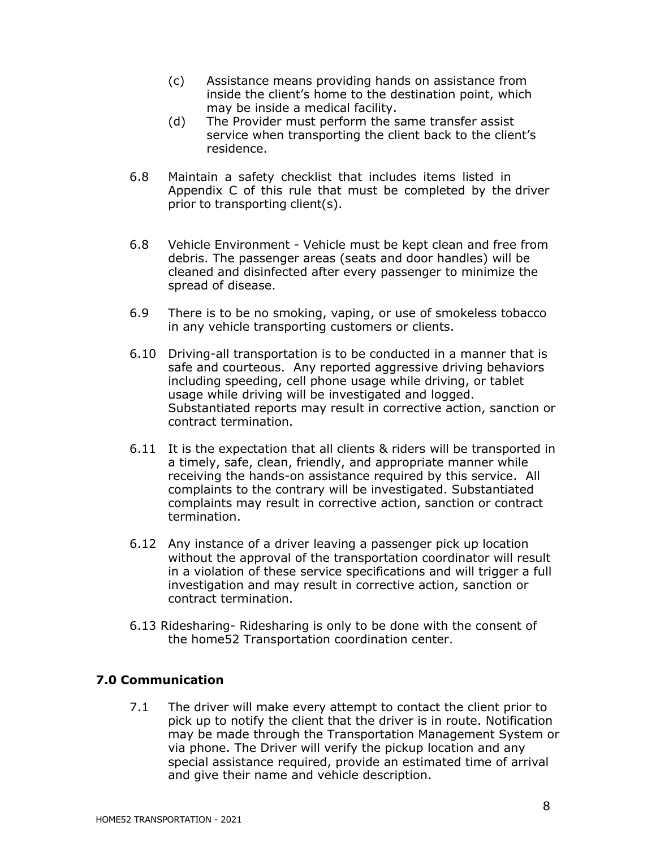- (c) Assistance means providing hands on assistance from inside the client's home to the destination point, which may be inside a medical facility.
- (d) The Provider must perform the same transfer assist service when transporting the client back to the client's residence.
- 6.8 Maintain a safety checklist that includes items listed in Appendix C of this rule that must be completed by the driver prior to transporting client(s).
- 6.8 Vehicle Environment Vehicle must be kept clean and free from debris. The passenger areas (seats and door handles) will be cleaned and disinfected after every passenger to minimize the spread of disease.
- 6.9 There is to be no smoking, vaping, or use of smokeless tobacco in any vehicle transporting customers or clients.
- 6.10 Driving-all transportation is to be conducted in a manner that is safe and courteous. Any reported aggressive driving behaviors including speeding, cell phone usage while driving, or tablet usage while driving will be investigated and logged. Substantiated reports may result in corrective action, sanction or contract termination.
- 6.11 It is the expectation that all clients & riders will be transported in a timely, safe, clean, friendly, and appropriate manner while receiving the hands-on assistance required by this service. All complaints to the contrary will be investigated. Substantiated complaints may result in corrective action, sanction or contract termination.
- 6.12 Any instance of a driver leaving a passenger pick up location without the approval of the transportation coordinator will result in a violation of these service specifications and will trigger a full investigation and may result in corrective action, sanction or contract termination.
- 6.13 Ridesharing- Ridesharing is only to be done with the consent of the home52 Transportation coordination center.

#### **7.0 Communication**

7.1 The driver will make every attempt to contact the client prior to pick up to notify the client that the driver is in route. Notification may be made through the Transportation Management System or via phone. The Driver will verify the pickup location and any special assistance required, provide an estimated time of arrival and give their name and vehicle description.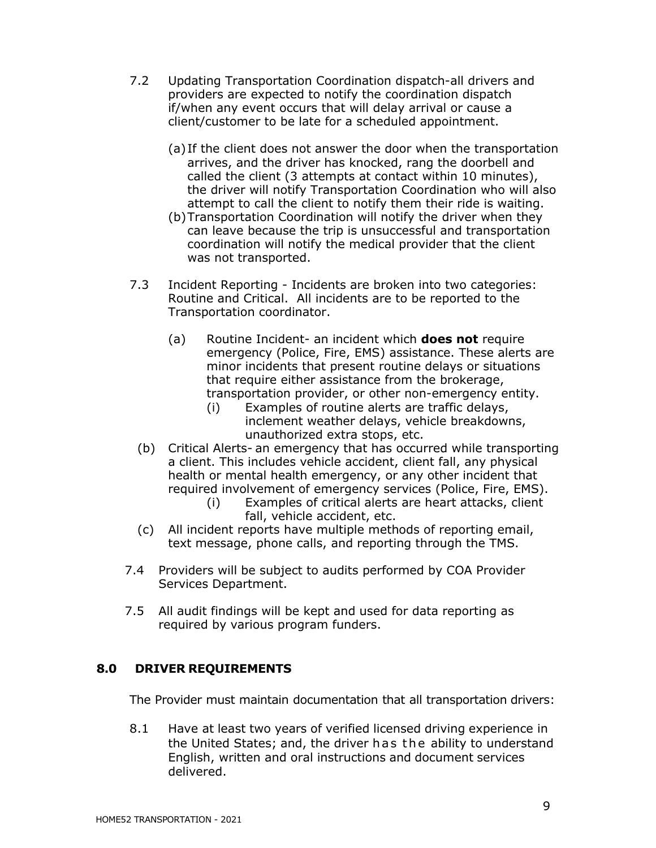- 7.2 Updating Transportation Coordination dispatch-all drivers and providers are expected to notify the coordination dispatch if/when any event occurs that will delay arrival or cause a client/customer to be late for a scheduled appointment.
	- (a) If the client does not answer the door when the transportation arrives, and the driver has knocked, rang the doorbell and called the client (3 attempts at contact within 10 minutes), the driver will notify Transportation Coordination who will also attempt to call the client to notify them their ride is waiting.
	- (b)Transportation Coordination will notify the driver when they can leave because the trip is unsuccessful and transportation coordination will notify the medical provider that the client was not transported.
- 7.3 Incident Reporting Incidents are broken into two categories: Routine and Critical. All incidents are to be reported to the Transportation coordinator.
	- (a) Routine Incident- an incident which **does not** require emergency (Police, Fire, EMS) assistance. These alerts are minor incidents that present routine delays or situations that require either assistance from the brokerage, transportation provider, or other non-emergency entity.
		- (i) Examples of routine alerts are traffic delays, inclement weather delays, vehicle breakdowns, unauthorized extra stops, etc.
	- (b) Critical Alerts- an emergency that has occurred while transporting a client. This includes vehicle accident, client fall, any physical health or mental health emergency, or any other incident that required involvement of emergency services (Police, Fire, EMS).
		- (i) Examples of critical alerts are heart attacks, client fall, vehicle accident, etc.
	- (c) All incident reports have multiple methods of reporting email, text message, phone calls, and reporting through the TMS.
- 7.4 Providers will be subject to audits performed by COA Provider Services Department.
- 7.5 All audit findings will be kept and used for data reporting as required by various program funders.

### **8.0 DRIVER REQUIREMENTS**

The Provider must maintain documentation that all transportation drivers:

8.1 Have at least two years of verified licensed driving experience in the United States; and, the driver has the ability to understand English, written and oral instructions and document services delivered.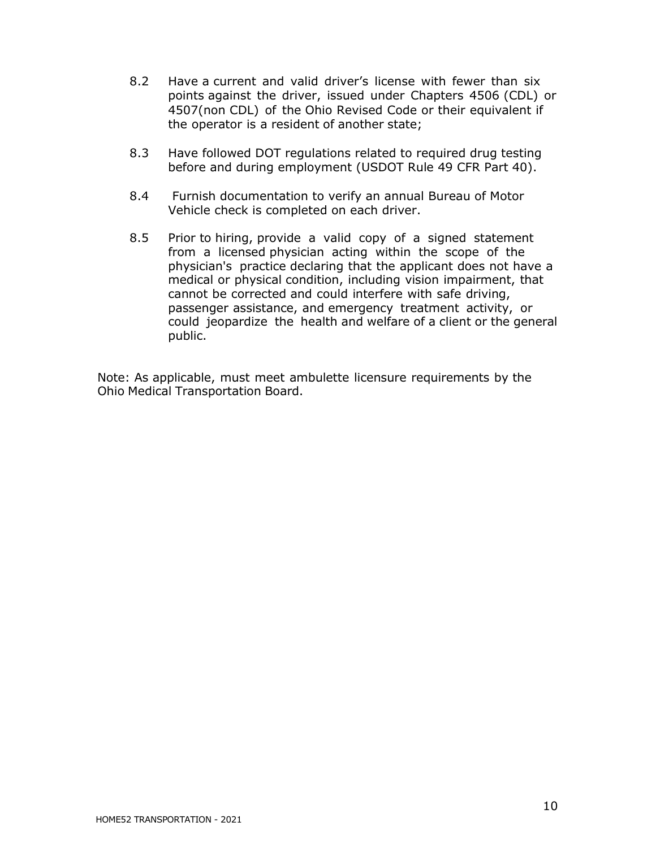- 8.2 Have a current and valid driver's license with fewer than six points against the driver, issued under Chapters 4506 (CDL) or 4507(non CDL) of the Ohio Revised Code or their equivalent if the operator is a resident of another state;
- 8.3 Have followed DOT regulations related to required drug testing before and during employment (USDOT Rule 49 CFR Part 40).
- 8.4 Furnish documentation to verify an annual Bureau of Motor Vehicle check is completed on each driver.
- 8.5 Prior to hiring, provide a valid copy of a signed statement from a licensed physician acting within the scope of the physician's practice declaring that the applicant does not have a medical or physical condition, including vision impairment, that cannot be corrected and could interfere with safe driving, passenger assistance, and emergency treatment activity, or could jeopardize the health and welfare of a client or the general public.

Note: As applicable, must meet ambulette licensure requirements by the Ohio Medical Transportation Board.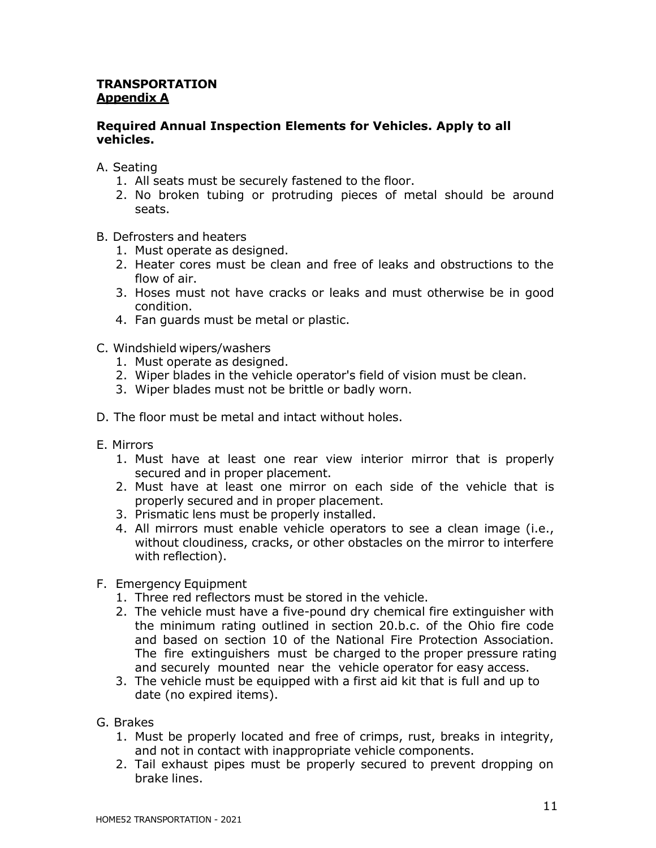#### <span id="page-10-0"></span>**TRANSPORTATION Appendix A**

#### **Required Annual Inspection Elements for Vehicles. Apply to all vehicles.**

- A. Seating
	- 1. All seats must be securely fastened to the floor.
	- 2. No broken tubing or protruding pieces of metal should be around seats.
- B. Defrosters and heaters
	- 1. Must operate as designed.
	- 2. Heater cores must be clean and free of leaks and obstructions to the flow of air.
	- 3. Hoses must not have cracks or leaks and must otherwise be in good condition.
	- 4. Fan guards must be metal or plastic.
- C. Windshield wipers/washers
	- 1. Must operate as designed.
	- 2. Wiper blades in the vehicle operator's field of vision must be clean.
	- 3. Wiper blades must not be brittle or badly worn.
- D. The floor must be metal and intact without holes.
- E. Mirrors
	- 1. Must have at least one rear view interior mirror that is properly secured and in proper placement.
	- 2. Must have at least one mirror on each side of the vehicle that is properly secured and in proper placement.
	- 3. Prismatic lens must be properly installed.
	- 4. All mirrors must enable vehicle operators to see a clean image (i.e., without cloudiness, cracks, or other obstacles on the mirror to interfere with reflection).
- F. Emergency Equipment
	- 1. Three red reflectors must be stored in the vehicle.
	- 2. The vehicle must have a five-pound dry chemical fire extinguisher with the minimum rating outlined in section 20.b.c. of the Ohio fire code and based on section 10 of the National Fire Protection Association. The fire extinguishers must be charged to the proper pressure rating and securely mounted near the vehicle operator for easy access.
	- 3. The vehicle must be equipped with a first aid kit that is full and up to date (no expired items).
- G. Brakes
	- 1. Must be properly located and free of crimps, rust, breaks in integrity, and not in contact with inappropriate vehicle components.
	- 2. Tail exhaust pipes must be properly secured to prevent dropping on brake lines.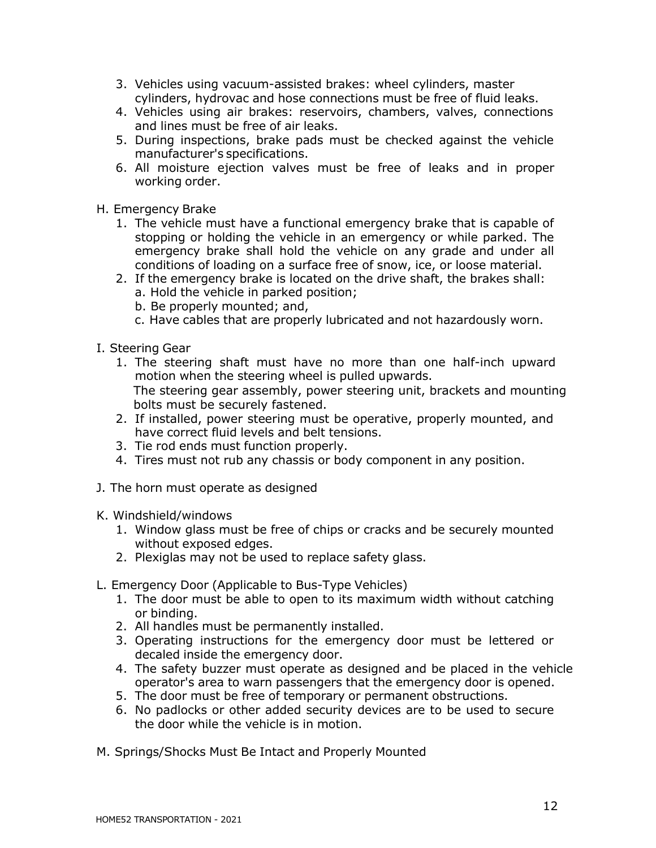- 3. Vehicles using vacuum-assisted brakes: wheel cylinders, master cylinders, hydrovac and hose connections must be free of fluid leaks.
- 4. Vehicles using air brakes: reservoirs, chambers, valves, connections and lines must be free of air leaks.
- 5. During inspections, brake pads must be checked against the vehicle manufacturer's specifications.
- 6. All moisture ejection valves must be free of leaks and in proper working order.
- H. Emergency Brake
	- 1. The vehicle must have a functional emergency brake that is capable of stopping or holding the vehicle in an emergency or while parked. The emergency brake shall hold the vehicle on any grade and under all conditions of loading on a surface free of snow, ice, or loose material.
	- 2. If the emergency brake is located on the drive shaft, the brakes shall:
		- a. Hold the vehicle in parked position;
		- b. Be properly mounted; and,
		- c. Have cables that are properly lubricated and not hazardously worn.
- I. Steering Gear
	- 1. The steering shaft must have no more than one half-inch upward motion when the steering wheel is pulled upwards. The steering gear assembly, power steering unit, brackets and mounting bolts must be securely fastened.
	- 2. If installed, power steering must be operative, properly mounted, and have correct fluid levels and belt tensions.
	- 3. Tie rod ends must function properly.
	- 4. Tires must not rub any chassis or body component in any position.
- J. The horn must operate as designed
- K. Windshield/windows
	- 1. Window glass must be free of chips or cracks and be securely mounted without exposed edges.
	- 2. Plexiglas may not be used to replace safety glass.
- L. Emergency Door (Applicable to Bus-Type Vehicles)
	- 1. The door must be able to open to its maximum width without catching or binding.
	- 2. All handles must be permanently installed.
	- 3. Operating instructions for the emergency door must be lettered or decaled inside the emergency door.
	- 4. The safety buzzer must operate as designed and be placed in the vehicle operator's area to warn passengers that the emergency door is opened.
	- 5. The door must be free of temporary or permanent obstructions.
	- 6. No padlocks or other added security devices are to be used to secure the door while the vehicle is in motion.
- M. Springs/Shocks Must Be Intact and Properly Mounted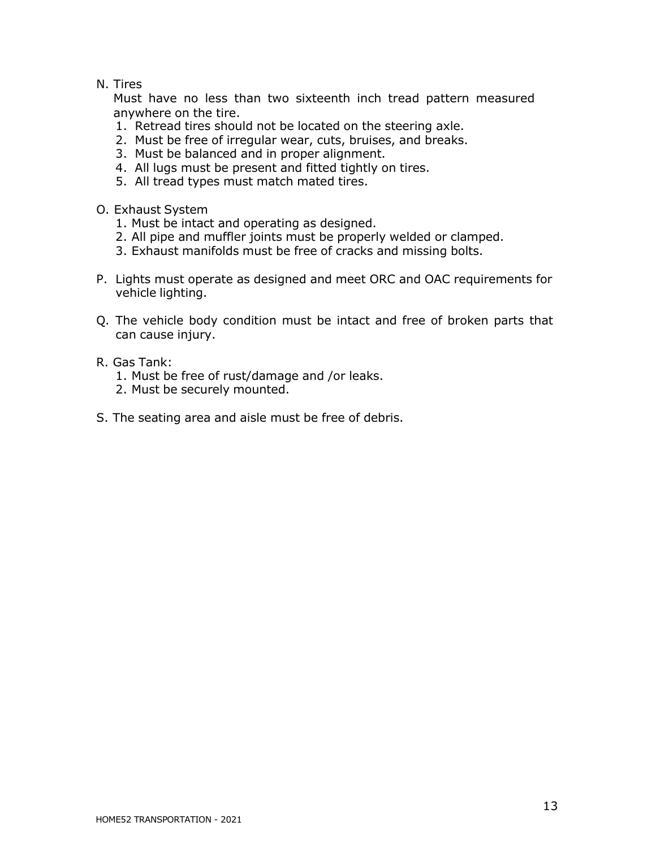#### N. Tires

Must have no less than two sixteenth inch tread pattern measured anywhere on the tire.

- 1. Retread tires should not be located on the steering axle.
- 2. Must be free of irregular wear, cuts, bruises, and breaks.
- 3. Must be balanced and in proper alignment.
- 4. All lugs must be present and fitted tightly on tires.
- 5. All tread types must match mated tires.
- O. Exhaust System
	- 1. Must be intact and operating as designed.
	- 2. All pipe and muffler joints must be properly welded or clamped.
	- 3. Exhaust manifolds must be free of cracks and missing bolts.
- P. Lights must operate as designed and meet ORC and OAC requirements for vehicle lighting.
- Q. The vehicle body condition must be intact and free of broken parts that can cause injury.
- R. Gas Tank:
	- 1. Must be free of rust/damage and /or leaks.
	- 2. Must be securely mounted.
- S. The seating area and aisle must be free of debris.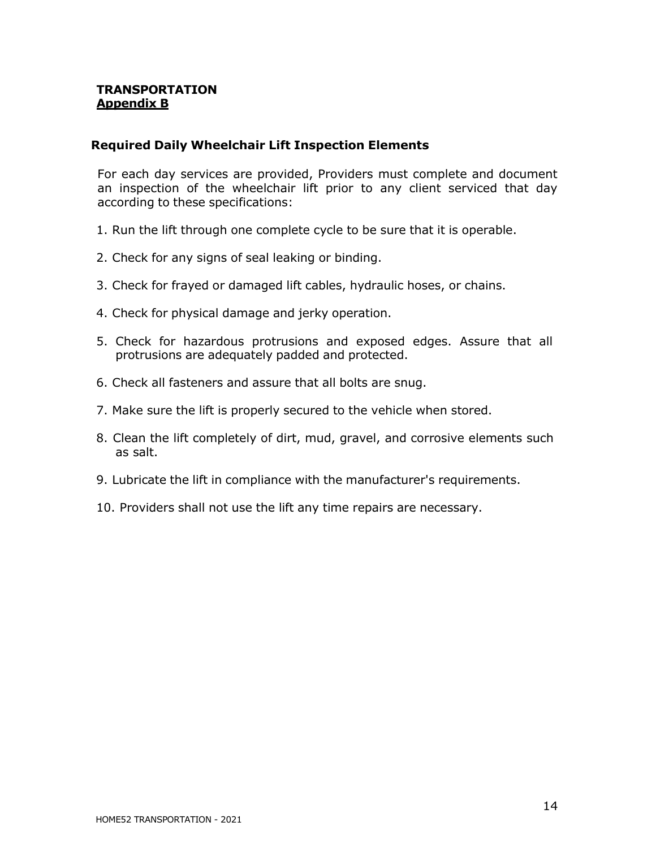#### <span id="page-13-0"></span>**TRANSPORTATION Appendix B**

#### **Required Daily Wheelchair Lift Inspection Elements**

For each day services are provided, Providers must complete and document an inspection of the wheelchair lift prior to any client serviced that day according to these specifications:

- 1. Run the lift through one complete cycle to be sure that it is operable.
- 2. Check for any signs of seal leaking or binding.
- 3. Check for frayed or damaged lift cables, hydraulic hoses, or chains.
- 4. Check for physical damage and jerky operation.
- 5. Check for hazardous protrusions and exposed edges. Assure that all protrusions are adequately padded and protected.
- 6. Check all fasteners and assure that all bolts are snug.
- 7. Make sure the lift is properly secured to the vehicle when stored.
- 8. Clean the lift completely of dirt, mud, gravel, and corrosive elements such as salt.
- 9. Lubricate the lift in compliance with the manufacturer's requirements.
- 10. Providers shall not use the lift any time repairs are necessary.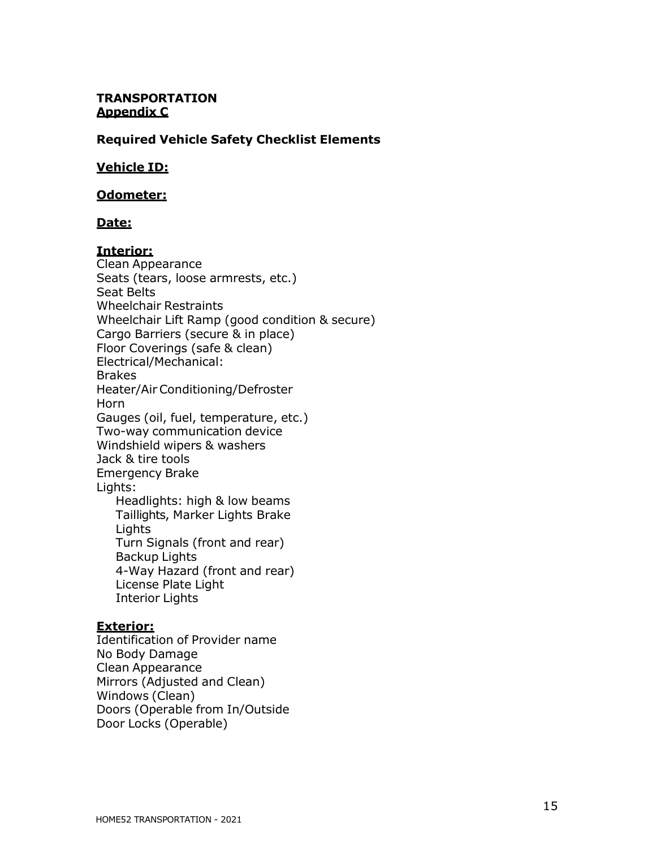#### <span id="page-14-0"></span>**TRANSPORTATION Appendix C**

#### **Required Vehicle Safety Checklist Elements**

#### **Vehicle ID:**

#### **Odometer:**

#### **Date:**

#### **Interior:**

Clean Appearance Seats (tears, loose armrests, etc.) Seat Belts Wheelchair Restraints Wheelchair Lift Ramp (good condition & secure) Cargo Barriers (secure & in place) Floor Coverings (safe & clean) Electrical/Mechanical: Brakes Heater/AirConditioning/Defroster Horn Gauges (oil, fuel, temperature, etc.) Two-way communication device Windshield wipers & washers Jack & tire tools Emergency Brake Lights: Headlights: high & low beams Taillights, Marker Lights Brake Lights Turn Signals (front and rear) Backup Lights 4-Way Hazard (front and rear) License Plate Light Interior Lights

#### **Exterior:**

Identification of Provider name No Body Damage Clean Appearance Mirrors (Adjusted and Clean) Windows (Clean) Doors (Operable from In/Outside Door Locks (Operable)